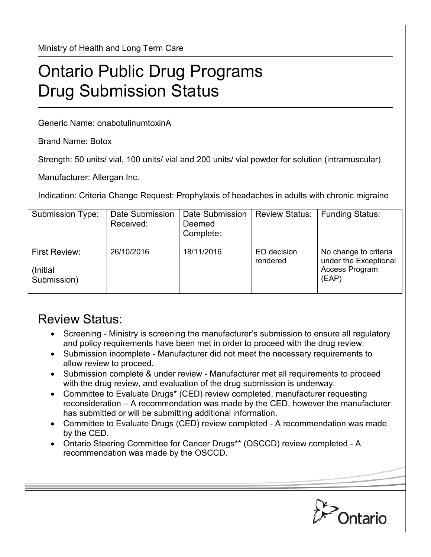Ministry of Health and Long Term Care

## Ontario Public Drug Programs Drug Submission Status

Generic Name: onabotulinumtoxinA

Brand Name: Botox

Strength: 50 units/ vial, 100 units/ vial and 200 units/ vial powder for solution (intramuscular)

Manufacturer: Allergan Inc.

Indication: Criteria Change Request: Prophylaxis of headaches in adults with chronic migraine

| Submission Type:                                | Date Submission<br>Received: | Date Submission<br>Deemed<br>Complete: | <b>Review Status:</b>   | <b>Funding Status:</b>                                                    |
|-------------------------------------------------|------------------------------|----------------------------------------|-------------------------|---------------------------------------------------------------------------|
| <b>First Review:</b><br>(Initial<br>Submission) | 26/10/2016                   | 18/11/2016                             | EO decision<br>rendered | No change to criteria<br>under the Exceptional<br>Access Program<br>(EAP) |

## Review Status:

- Screening Ministry is screening the manufacturer's submission to ensure all regulatory and policy requirements have been met in order to proceed with the drug review.
- Submission incomplete Manufacturer did not meet the necessary requirements to allow review to proceed.
- Submission complete & under review Manufacturer met all requirements to proceed with the drug review, and evaluation of the drug submission is underway.
- Committee to Evaluate Drugs\* (CED) review completed, manufacturer requesting reconsideration – A recommendation was made by the CED, however the manufacturer has submitted or will be submitting additional information.
- Committee to Evaluate Drugs (CED) review completed A recommendation was made by the CED.
- Ontario Steering Committee for Cancer Drugs\*\* (OSCCD) review completed A recommendation was made by the OSCCD.